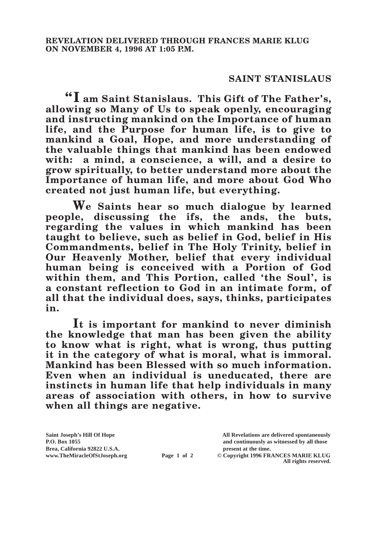## **SAINT STANISLAUS**

**"I am Saint Stanislaus. This Gift of The Father's, allowing so Many of Us to speak openly, encouraging and instructing mankind on the Importance of human life, and the Purpose for human life, is to give to mankind a Goal, Hope, and more understanding of the valuable things that mankind has been endowed with: a mind, a conscience, a will, and a desire to grow spiritually, to better understand more about the Importance of human life, and more about God Who created not just human life, but everything.**

**We Saints hear so much dialogue by learned people, discussing the ifs, the ands, the buts, regarding the values in which mankind has been taught to believe, such as belief in God, belief in His Commandments, belief in The Holy Trinity, belief in Our Heavenly Mother, belief that every individual human being is conceived with a Portion of God within them, and This Portion, called 'the Soul', is a constant reflection to God in an intimate form, of all that the individual does, says, thinks, participates in.**

**It is important for mankind to never diminish the knowledge that man has been given the ability to know what is right, what is wrong, thus putting it in the category of what is moral, what is immoral. Mankind has been Blessed with so much information. Even when an individual is uneducated, there are instincts in human life that help individuals in many areas of association with others, in how to survive when all things are negative.**

**Brea, California 92822 U.S.A. present at the time.**<br> **present at the time.**<br> **present at the time.**<br> **Page 1 of 2** © Copyright 1996 FR.

**Saint Joseph's Hill Of Hope All Revelations are delivered spontaneously P.O. Box 1055 and continuously as witnessed by all those** 

**Page 1 of 2** © Copyright 1996 FRANCES MARIE KLUG **All rights reserved.**